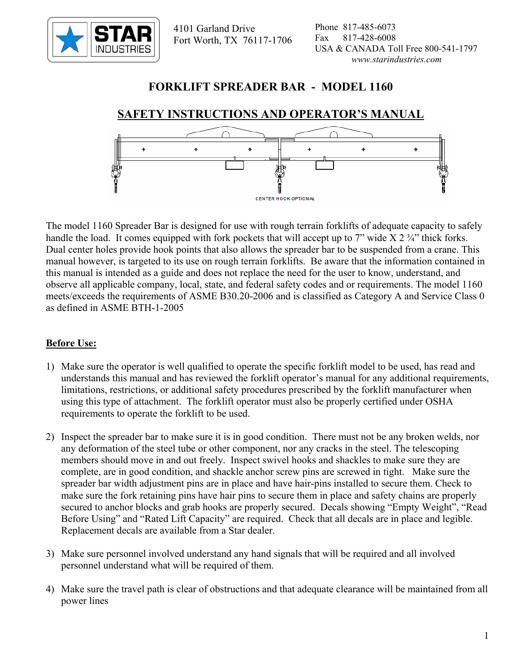

 4101 Garland Drive Fort Worth, TX 76117-1706

## **FORKLIFT SPREADER BAR - MODEL 1160**

# **SAFETY INSTRUCTIONS AND OPERATOR'S MANUAL**



The model 1160 Spreader Bar is designed for use with rough terrain forklifts of adequate capacity to safely handle the load. It comes equipped with fork pockets that will accept up to 7" wide  $X 2 \frac{3}{4}$ " thick forks. Dual center holes provide hook points that also allows the spreader bar to be suspended from a crane. This manual however, is targeted to its use on rough terrain forklifts. Be aware that the information contained in this manual is intended as a guide and does not replace the need for the user to know, understand, and observe all applicable company, local, state, and federal safety codes and or requirements. The model 1160 meets/exceeds the requirements of ASME B30.20-2006 and is classified as Category A and Service Class 0 as defined in ASME BTH-1-2005

### **Before Use:**

- 1) Make sure the operator is well qualified to operate the specific forklift model to be used, has read and understands this manual and has reviewed the forklift operator's manual for any additional requirements, limitations, restrictions, or additional safety procedures prescribed by the forklift manufacturer when using this type of attachment. The forklift operator must also be properly certified under OSHA requirements to operate the forklift to be used.
- 2) Inspect the spreader bar to make sure it is in good condition. There must not be any broken welds, nor any deformation of the steel tube or other component, nor any cracks in the steel. The telescoping members should move in and out freely. Inspect swivel hooks and shackles to make sure they are complete, are in good condition, and shackle anchor screw pins are screwed in tight. Make sure the spreader bar width adjustment pins are in place and have hair-pins installed to secure them. Check to make sure the fork retaining pins have hair pins to secure them in place and safety chains are properly secured to anchor blocks and grab hooks are properly secured. Decals showing "Empty Weight", "Read Before Using" and "Rated Lift Capacity" are required. Check that all decals are in place and legible. Replacement decals are available from a Star dealer.
- 3) Make sure personnel involved understand any hand signals that will be required and all involved personnel understand what will be required of them.
- 4) Make sure the travel path is clear of obstructions and that adequate clearance will be maintained from all power lines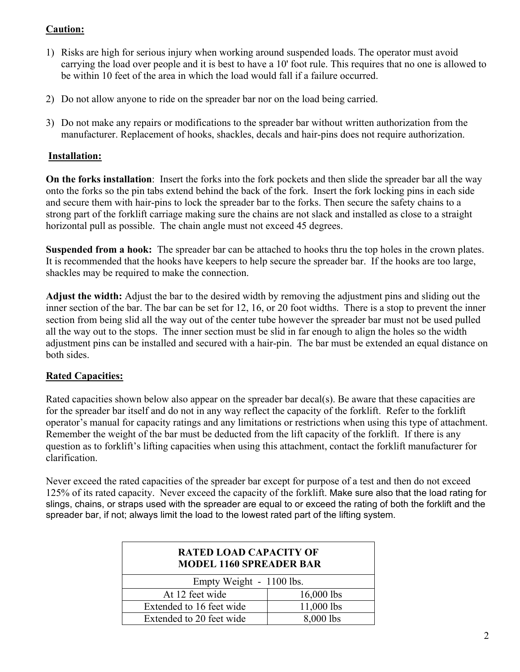### **Caution:**

- 1) Risks are high for serious injury when working around suspended loads. The operator must avoid carrying the load over people and it is best to have a 10' foot rule. This requires that no one is allowed to be within 10 feet of the area in which the load would fall if a failure occurred.
- 2) Do not allow anyone to ride on the spreader bar nor on the load being carried.
- 3) Do not make any repairs or modifications to the spreader bar without written authorization from the manufacturer. Replacement of hooks, shackles, decals and hair-pins does not require authorization.

#### **Installation:**

**On the forks installation**: Insert the forks into the fork pockets and then slide the spreader bar all the way onto the forks so the pin tabs extend behind the back of the fork. Insert the fork locking pins in each side and secure them with hair-pins to lock the spreader bar to the forks. Then secure the safety chains to a strong part of the forklift carriage making sure the chains are not slack and installed as close to a straight horizontal pull as possible. The chain angle must not exceed 45 degrees.

**Suspended from a hook:** The spreader bar can be attached to hooks thru the top holes in the crown plates. It is recommended that the hooks have keepers to help secure the spreader bar. If the hooks are too large, shackles may be required to make the connection.

**Adjust the width:** Adjust the bar to the desired width by removing the adjustment pins and sliding out the inner section of the bar. The bar can be set for 12, 16, or 20 foot widths. There is a stop to prevent the inner section from being slid all the way out of the center tube however the spreader bar must not be used pulled all the way out to the stops. The inner section must be slid in far enough to align the holes so the width adjustment pins can be installed and secured with a hair-pin. The bar must be extended an equal distance on both sides.

#### **Rated Capacities:**

Rated capacities shown below also appear on the spreader bar decal(s). Be aware that these capacities are for the spreader bar itself and do not in any way reflect the capacity of the forklift. Refer to the forklift operator's manual for capacity ratings and any limitations or restrictions when using this type of attachment. Remember the weight of the bar must be deducted from the lift capacity of the forklift. If there is any question as to forklift's lifting capacities when using this attachment, contact the forklift manufacturer for clarification.

Never exceed the rated capacities of the spreader bar except for purpose of a test and then do not exceed 125% of its rated capacity. Never exceed the capacity of the forklift. Make sure also that the load rating for slings, chains, or straps used with the spreader are equal to or exceed the rating of both the forklift and the spreader bar, if not; always limit the load to the lowest rated part of the lifting system.

| <b>RATED LOAD CAPACITY OF</b><br><b>MODEL 1160 SPREADER BAR</b> |              |
|-----------------------------------------------------------------|--------------|
| Empty Weight - 1100 lbs.                                        |              |
| At 12 feet wide                                                 | $16,000$ lbs |
| Extended to 16 feet wide                                        | 11,000 lbs   |
| Extended to 20 feet wide                                        | 8,000 lbs    |